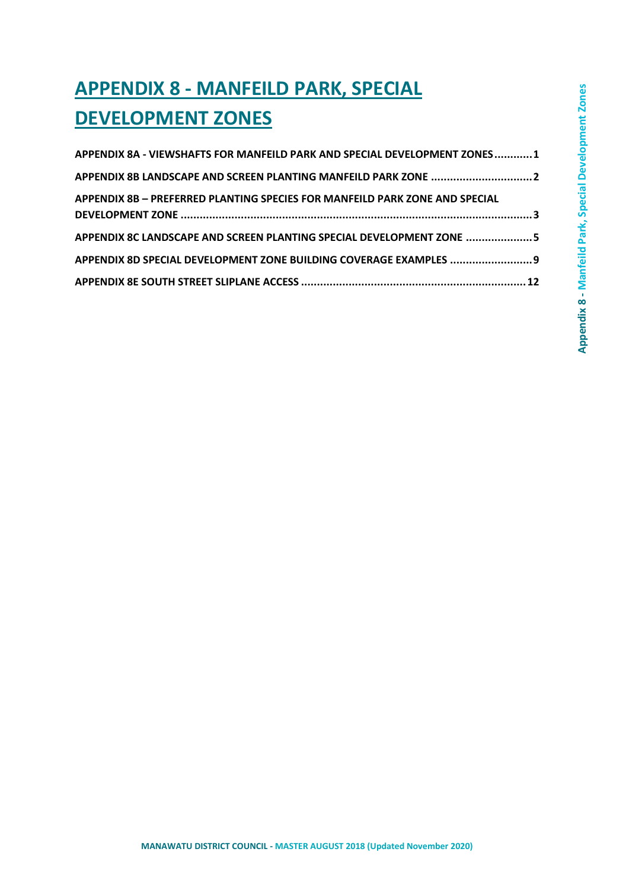# **APPENDIX 8 - MANFEILD PARK, SPECIAL DEVELOPMENT ZONES**

| APPENDIX 8A - VIEWSHAFTS FOR MANFEILD PARK AND SPECIAL DEVELOPMENT ZONES1   |  |
|-----------------------------------------------------------------------------|--|
|                                                                             |  |
| APPENDIX 8B - PREFERRED PLANTING SPECIES FOR MANFEILD PARK ZONE AND SPECIAL |  |
| APPENDIX 8C LANDSCAPE AND SCREEN PLANTING SPECIAL DEVELOPMENT ZONE 5        |  |
|                                                                             |  |
|                                                                             |  |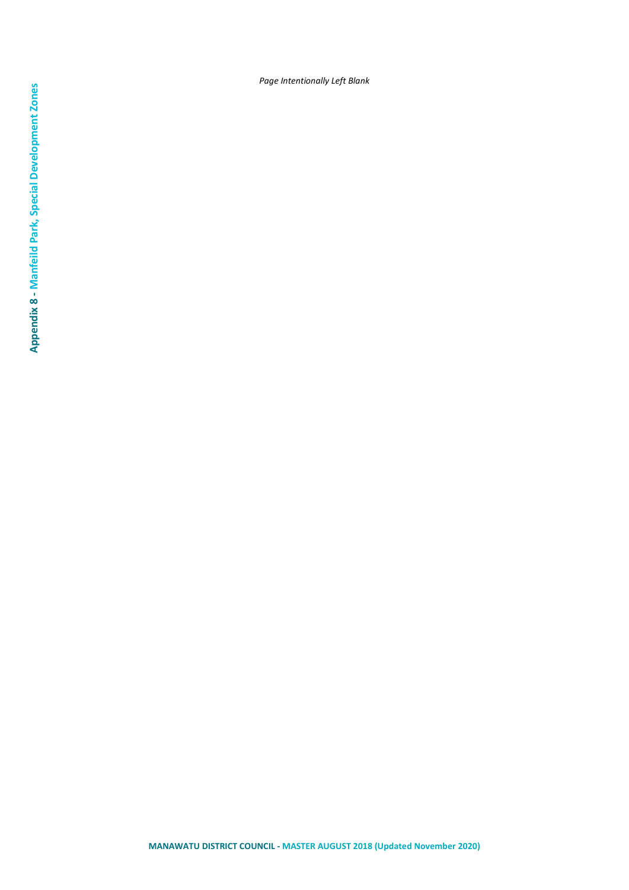*Page Intentionally Left Blank*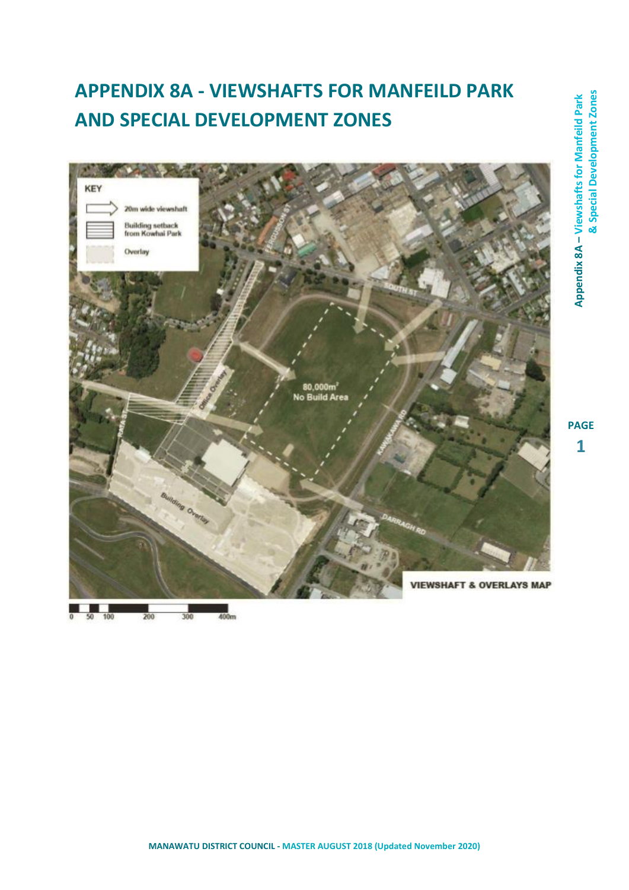## <span id="page-2-0"></span>**APPENDIX 8A - VIEWSHAFTS FOR MANFEILD PARK AND SPECIAL DEVELOPMENT ZONES**



**PAGE 1**

**MANAWATU DISTRICT COUNCIL - MASTER AUGUST 2018 (Updated November 2020)**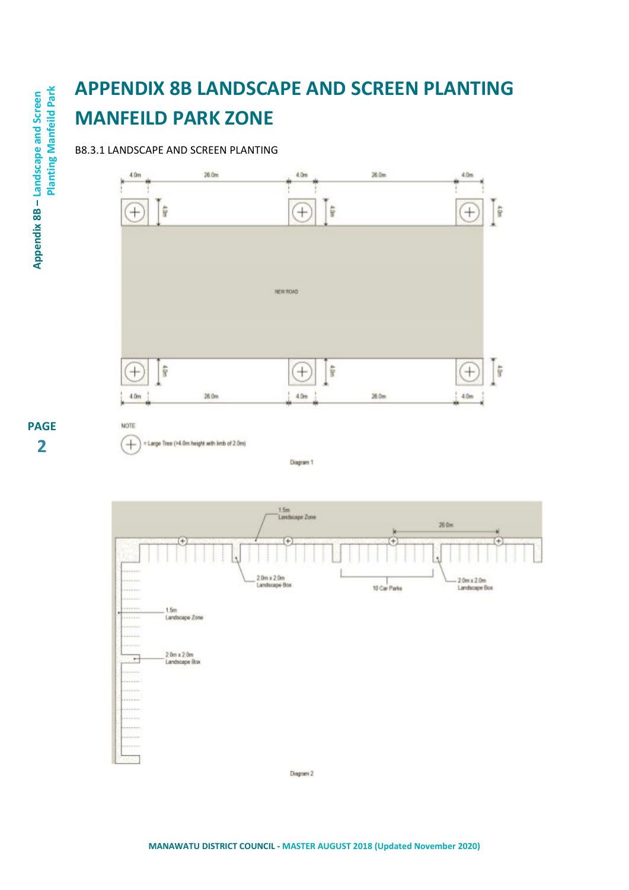## <span id="page-3-0"></span>**APPENDIX 8B LANDSCAPE AND SCREEN PLANTING MANFEILD PARK ZONE**

### B8.3.1 LANDSCAPE AND SCREEN PLANTING



### **PAGE 2**

NOTE  $^{(+)}$ = Large Tree (>4.0m height with limb of 2.0m)

Diagram 1



Diagram 2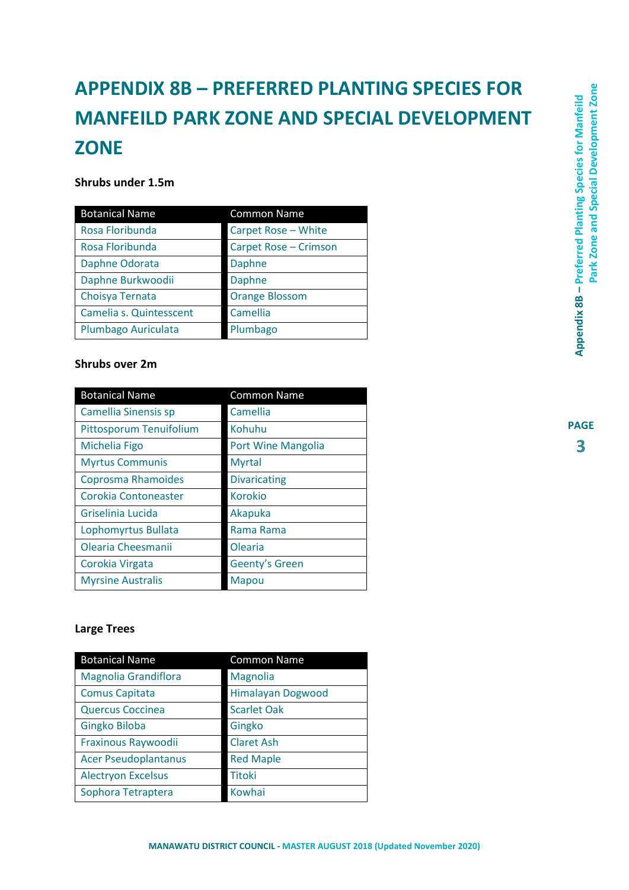# <span id="page-4-0"></span>**APPENDIX 8B – PREFERRED PLANTING SPECIES FOR MANFEILD PARK ZONE AND SPECIAL DEVELOPMENT ZONE**

#### **Shrubs under 1.5m**

| <b>Botanical Name</b>   | <b>Common Name</b>    |
|-------------------------|-----------------------|
| Rosa Floribunda         | Carpet Rose - White   |
| Rosa Floribunda         | Carpet Rose - Crimson |
| Daphne Odorata          | <b>Daphne</b>         |
| Daphne Burkwoodii       | <b>Daphne</b>         |
| Choisya Ternata         | <b>Orange Blossom</b> |
| Camelia s. Quintesscent | Camellia              |
| Plumbago Auriculata     | Plumbago              |

### **Shrubs over 2m**

| <b>Botanical Name</b>          | <b>Common Name</b>  |
|--------------------------------|---------------------|
| Camellia Sinensis sp           | Camellia            |
| <b>Pittosporum Tenuifolium</b> | Kohuhu              |
| Michelia Figo                  | Port Wine Mangolia  |
| <b>Myrtus Communis</b>         | <b>Myrtal</b>       |
| <b>Coprosma Rhamoides</b>      | <b>Divaricating</b> |
| Corokia Contoneaster           | Korokio             |
| Griselinia Lucida              | Akapuka             |
| Lophomyrtus Bullata            | Rama Rama           |
| Olearia Cheesmanii             | Olearia             |
| Corokia Virgata                | Geenty's Green      |
| <b>Myrsine Australis</b>       | <b>Mapou</b>        |

#### **Large Trees**

| <b>Botanical Name</b>       | <b>Common Name</b>       |
|-----------------------------|--------------------------|
| <b>Magnolia Grandiflora</b> | Magnolia                 |
| <b>Comus Capitata</b>       | <b>Himalayan Dogwood</b> |
| <b>Quercus Coccinea</b>     | <b>Scarlet Oak</b>       |
| <b>Gingko Biloba</b>        | Gingko                   |
| Fraxinous Raywoodii         | <b>Claret Ash</b>        |
| <b>Acer Pseudoplantanus</b> | <b>Red Maple</b>         |
| <b>Alectryon Excelsus</b>   | <b>Titoki</b>            |
| Sophora Tetraptera          | Kowhai                   |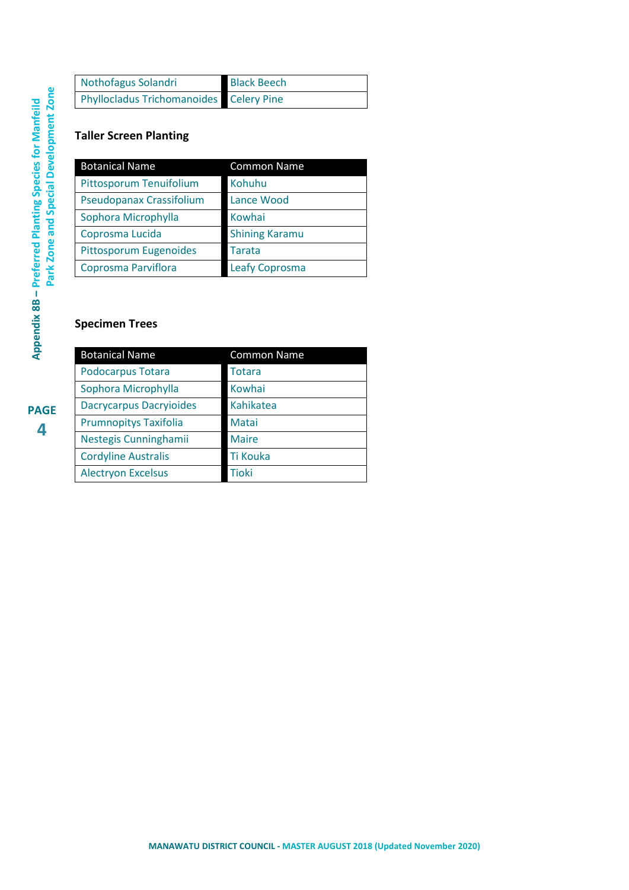| Nothofagus Solandri                            | <b>Black Beech</b> |
|------------------------------------------------|--------------------|
| <b>Phyllocladus Trichomanoides</b> Celery Pine |                    |

### **Taller Screen Planting**

| <b>Botanical Name</b>         | <b>Common Name</b>    |
|-------------------------------|-----------------------|
| Pittosporum Tenuifolium       | <b>Kohuhu</b>         |
| Pseudopanax Crassifolium      | Lance Wood            |
| Sophora Microphylla           | Kowhai                |
| Coprosma Lucida               | <b>Shining Karamu</b> |
| <b>Pittosporum Eugenoides</b> | <b>Tarata</b>         |
| Coprosma Parviflora           | Leafy Coprosma        |

### **Specimen Trees**

| <b>Botanical Name</b>          | <b>Common Name</b> |
|--------------------------------|--------------------|
| <b>Podocarpus Totara</b>       | <b>Totara</b>      |
| Sophora Microphylla            | Kowhai             |
| <b>Dacrycarpus Dacryioides</b> | Kahikatea          |
| <b>Prumnopitys Taxifolia</b>   | Matai              |
| Nestegis Cunninghamii          | <b>Maire</b>       |
| <b>Cordyline Australis</b>     | <b>Ti Kouka</b>    |
| <b>Alectryon Excelsus</b>      | <b>Tioki</b>       |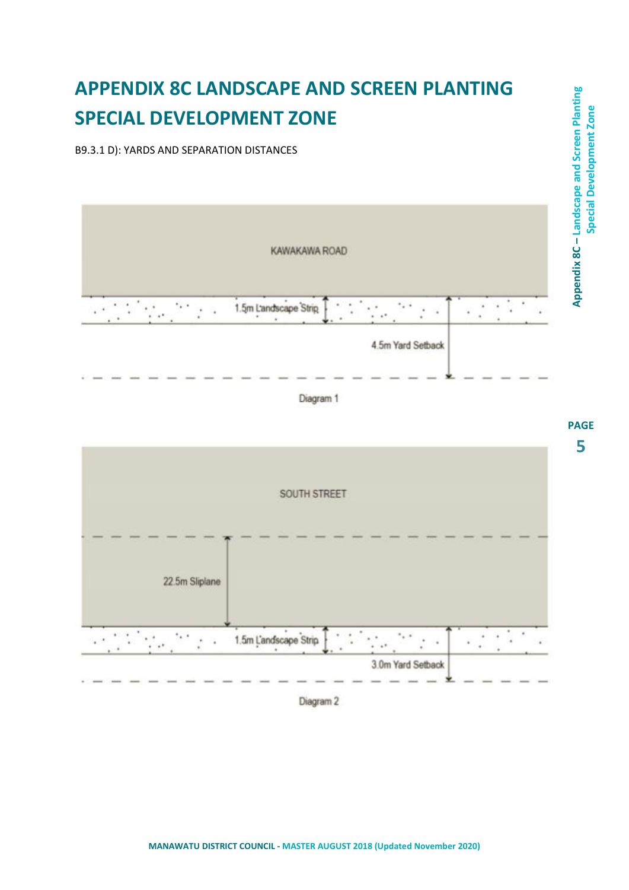## <span id="page-6-0"></span>**APPENDIX 8C LANDSCAPE AND SCREEN PLANTING SPECIAL DEVELOPMENT ZONE**

B9.3.1 D): YARDS AND SEPARATION DISTANCES



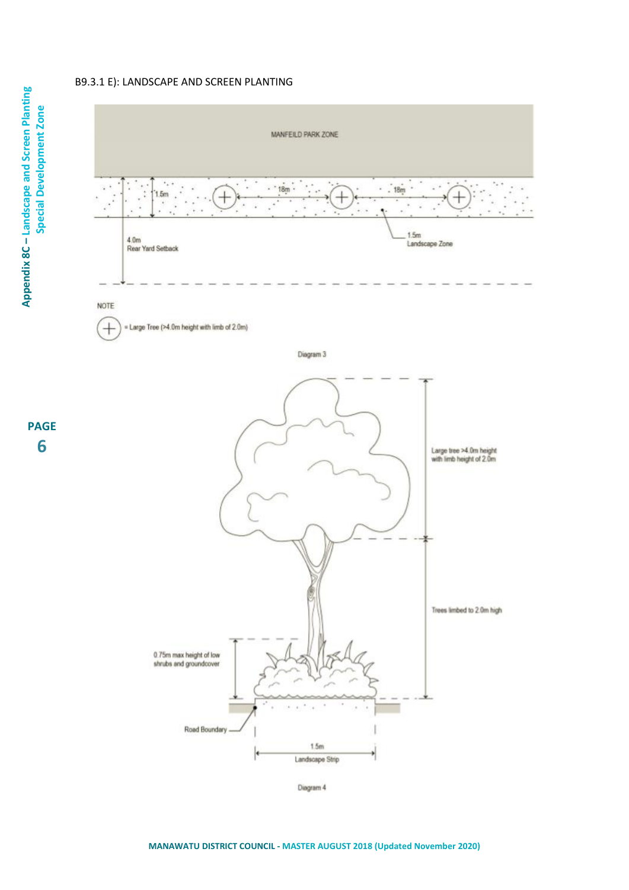#### B9.3.1 E): LANDSCAPE AND SCREEN PLANTING



Diagram 4

Appendix 8C – Landscape and Screen Planting<br>Special Development Zone **– Landscape and Screen Planting Special Development Zone Appendix 8C**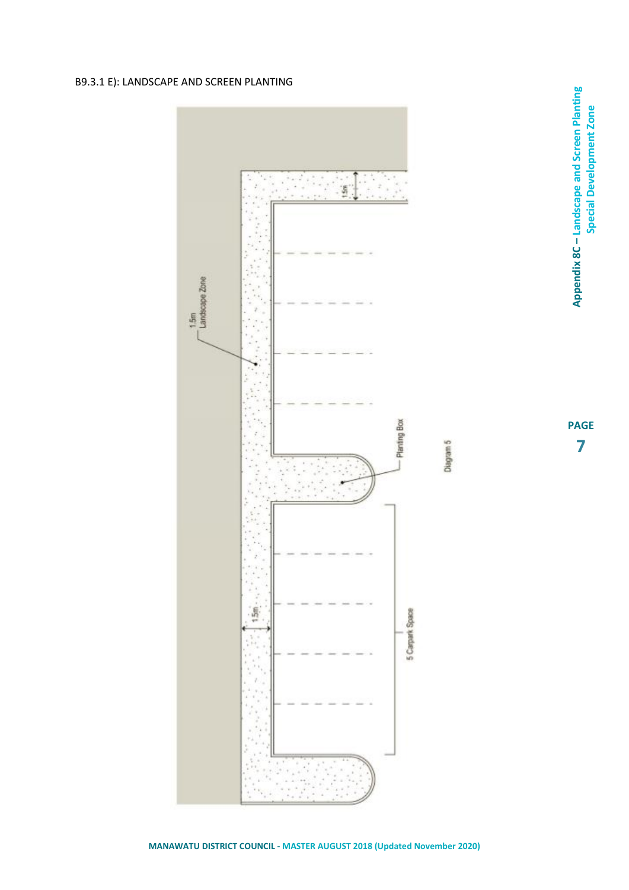

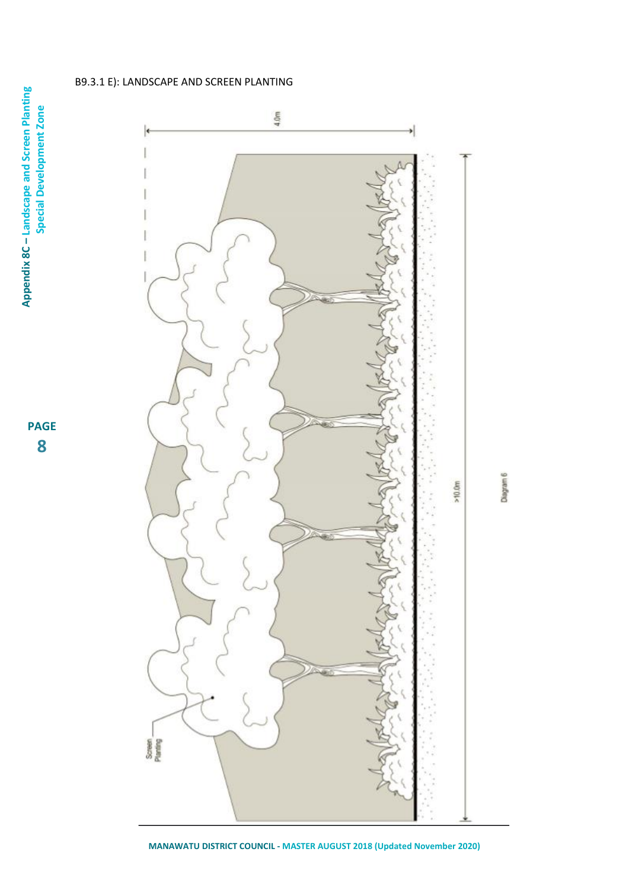### B9.3.1 E): LANDSCAPE AND SCREEN PLANTING



**PAGE 8**

**Appendix 8C** 

**– Landscape and Screen Planting Special Development Zone**

Special Development Zone

Appendix 8C - Landscape and Screen Planting

**MANAWATU DISTRICT COUNCIL - MASTER AUGUST 2018 (Updated November 2020)**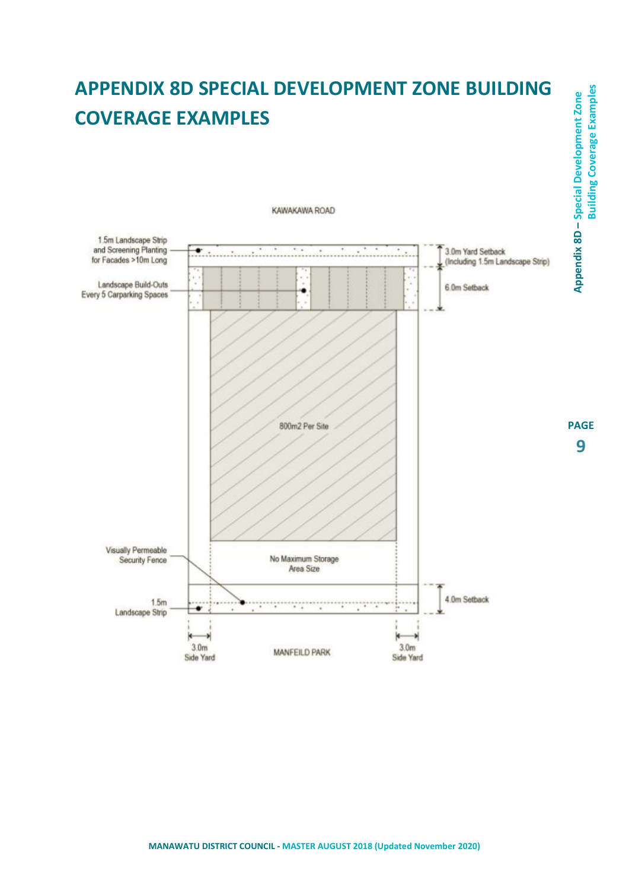# <span id="page-10-0"></span>**APPENDIX 8D SPECIAL DEVELOPMENT ZONE BUILDING COVERAGE EXAMPLES**



#### KAWAKAWA ROAD

**MANAWATU DISTRICT COUNCIL - MASTER AUGUST 2018 (Updated November 2020)**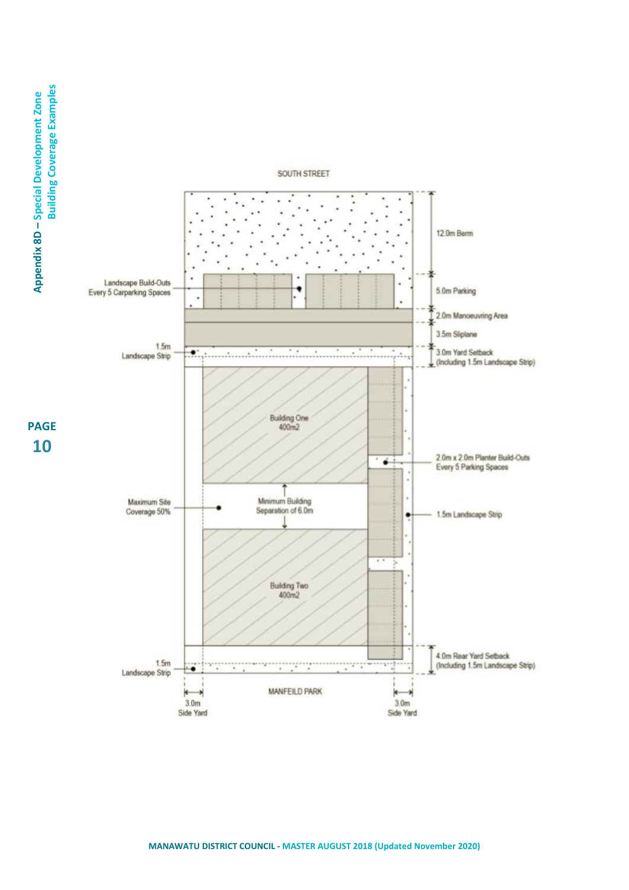**Building Coverage Examples Building Coverage Examples Appendix 8D - Special Development Zone – Special Development Zone Appendix 8D** 

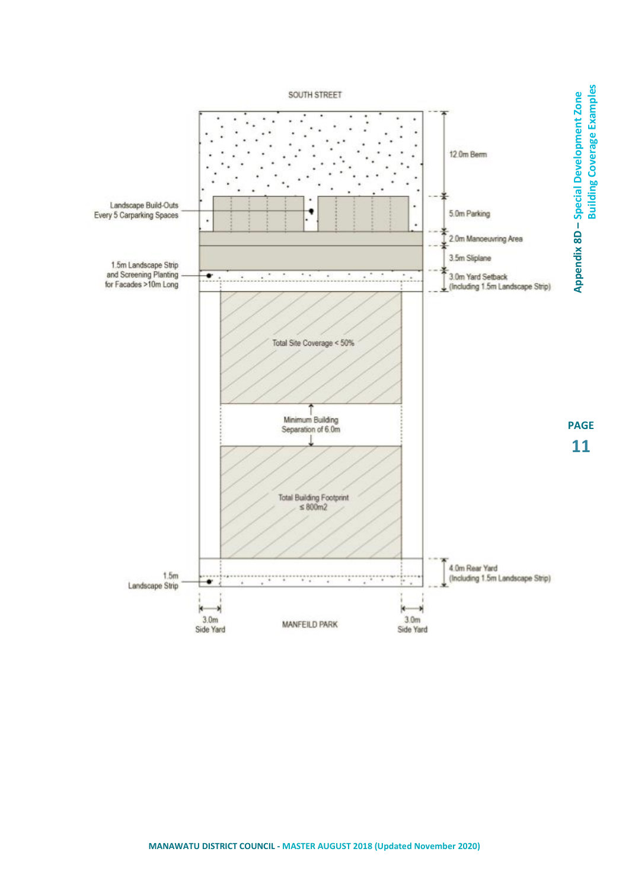